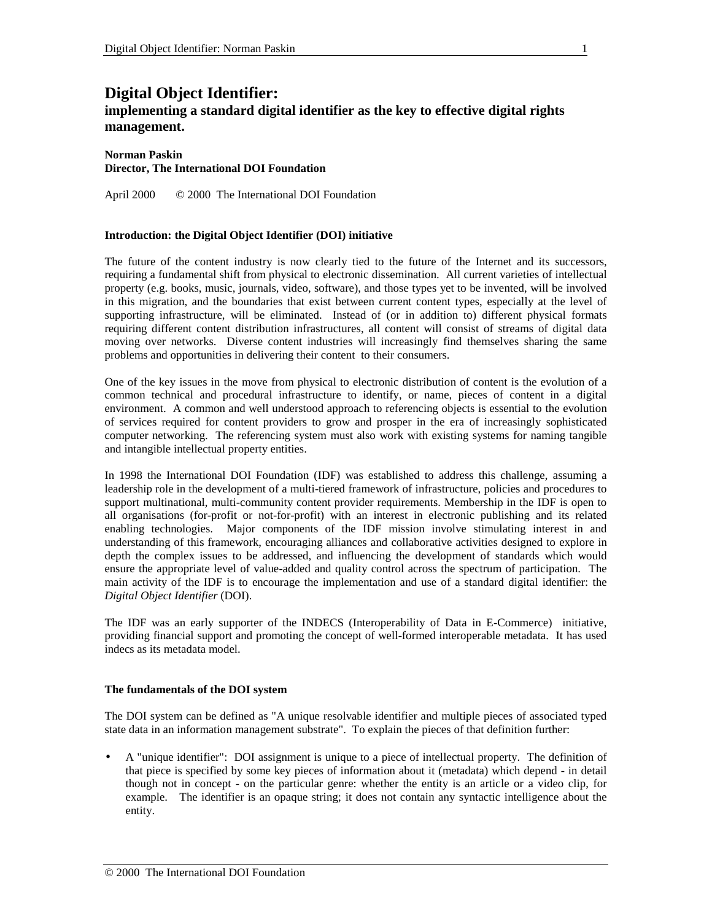# **Digital Object Identifier:**

## **implementing a standard digital identifier as the key to effective digital rights management.**

#### **Norman Paskin Director, The International DOI Foundation**

April 2000 © 2000 The International DOI Foundation

## **Introduction: the Digital Object Identifier (DOI) initiative**

The future of the content industry is now clearly tied to the future of the Internet and its successors, requiring a fundamental shift from physical to electronic dissemination. All current varieties of intellectual property (e.g. books, music, journals, video, software), and those types yet to be invented, will be involved in this migration, and the boundaries that exist between current content types, especially at the level of supporting infrastructure, will be eliminated. Instead of (or in addition to) different physical formats requiring different content distribution infrastructures, all content will consist of streams of digital data moving over networks. Diverse content industries will increasingly find themselves sharing the same problems and opportunities in delivering their content to their consumers.

One of the key issues in the move from physical to electronic distribution of content is the evolution of a common technical and procedural infrastructure to identify, or name, pieces of content in a digital environment. A common and well understood approach to referencing objects is essential to the evolution of services required for content providers to grow and prosper in the era of increasingly sophisticated computer networking. The referencing system must also work with existing systems for naming tangible and intangible intellectual property entities.

In 1998 the International DOI Foundation (IDF) was established to address this challenge, assuming a leadership role in the development of a multi-tiered framework of infrastructure, policies and procedures to support multinational, multi-community content provider requirements. Membership in the IDF is open to all organisations (for-profit or not-for-profit) with an interest in electronic publishing and its related enabling technologies. Major components of the IDF mission involve stimulating interest in and understanding of this framework, encouraging alliances and collaborative activities designed to explore in depth the complex issues to be addressed, and influencing the development of standards which would ensure the appropriate level of value-added and quality control across the spectrum of participation. The main activity of the IDF is to encourage the implementation and use of a standard digital identifier: the *Digital Object Identifier* (DOI).

The IDF was an early supporter of the INDECS (Interoperability of Data in E-Commerce) initiative, providing financial support and promoting the concept of well-formed interoperable metadata. It has used indecs as its metadata model.

## **The fundamentals of the DOI system**

The DOI system can be defined as "A unique resolvable identifier and multiple pieces of associated typed state data in an information management substrate". To explain the pieces of that definition further:

• A "unique identifier": DOI assignment is unique to a piece of intellectual property. The definition of that piece is specified by some key pieces of information about it (metadata) which depend - in detail though not in concept - on the particular genre: whether the entity is an article or a video clip, for example. The identifier is an opaque string; it does not contain any syntactic intelligence about the entity.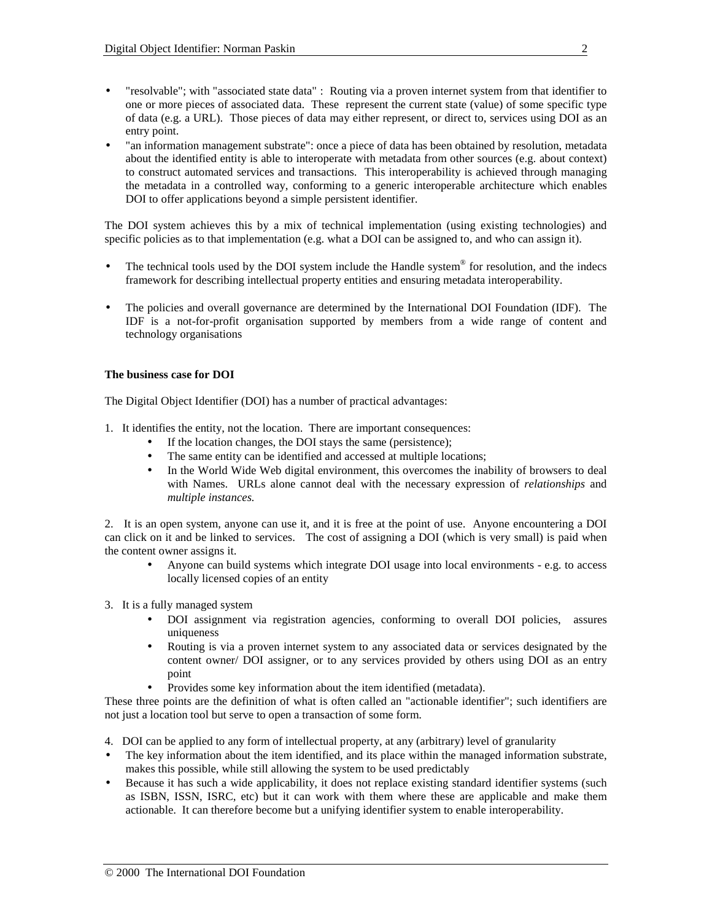- "resolvable"; with "associated state data" : Routing via a proven internet system from that identifier to one or more pieces of associated data. These represent the current state (value) of some specific type of data (e.g. a URL). Those pieces of data may either represent, or direct to, services using DOI as an entry point.
- "an information management substrate": once a piece of data has been obtained by resolution, metadata about the identified entity is able to interoperate with metadata from other sources (e.g. about context) to construct automated services and transactions. This interoperability is achieved through managing the metadata in a controlled way, conforming to a generic interoperable architecture which enables DOI to offer applications beyond a simple persistent identifier.

The DOI system achieves this by a mix of technical implementation (using existing technologies) and specific policies as to that implementation (e.g. what a DOI can be assigned to, and who can assign it).

- The technical tools used by the DOI system include the Handle system<sup>®</sup> for resolution, and the indecs framework for describing intellectual property entities and ensuring metadata interoperability.
- The policies and overall governance are determined by the International DOI Foundation (IDF). The IDF is a not-for-profit organisation supported by members from a wide range of content and technology organisations

## **The business case for DOI**

The Digital Object Identifier (DOI) has a number of practical advantages:

- 1. It identifies the entity, not the location. There are important consequences:
	- If the location changes, the DOI stays the same (persistence);
	- The same entity can be identified and accessed at multiple locations;
	- In the World Wide Web digital environment, this overcomes the inability of browsers to deal with Names. URLs alone cannot deal with the necessary expression of *relationships* and *multiple instances.*

2. It is an open system, anyone can use it, and it is free at the point of use. Anyone encountering a DOI can click on it and be linked to services. The cost of assigning a DOI (which is very small) is paid when the content owner assigns it.

• Anyone can build systems which integrate DOI usage into local environments - e.g. to access locally licensed copies of an entity

3. It is a fully managed system

- DOI assignment via registration agencies, conforming to overall DOI policies, assures uniqueness
- Routing is via a proven internet system to any associated data or services designated by the content owner/ DOI assigner, or to any services provided by others using DOI as an entry point
- Provides some key information about the item identified (metadata).

These three points are the definition of what is often called an "actionable identifier"; such identifiers are not just a location tool but serve to open a transaction of some form.

4. DOI can be applied to any form of intellectual property, at any (arbitrary) level of granularity

- The key information about the item identified, and its place within the managed information substrate, makes this possible, while still allowing the system to be used predictably
- Because it has such a wide applicability, it does not replace existing standard identifier systems (such as ISBN, ISSN, ISRC, etc) but it can work with them where these are applicable and make them actionable. It can therefore become but a unifying identifier system to enable interoperability.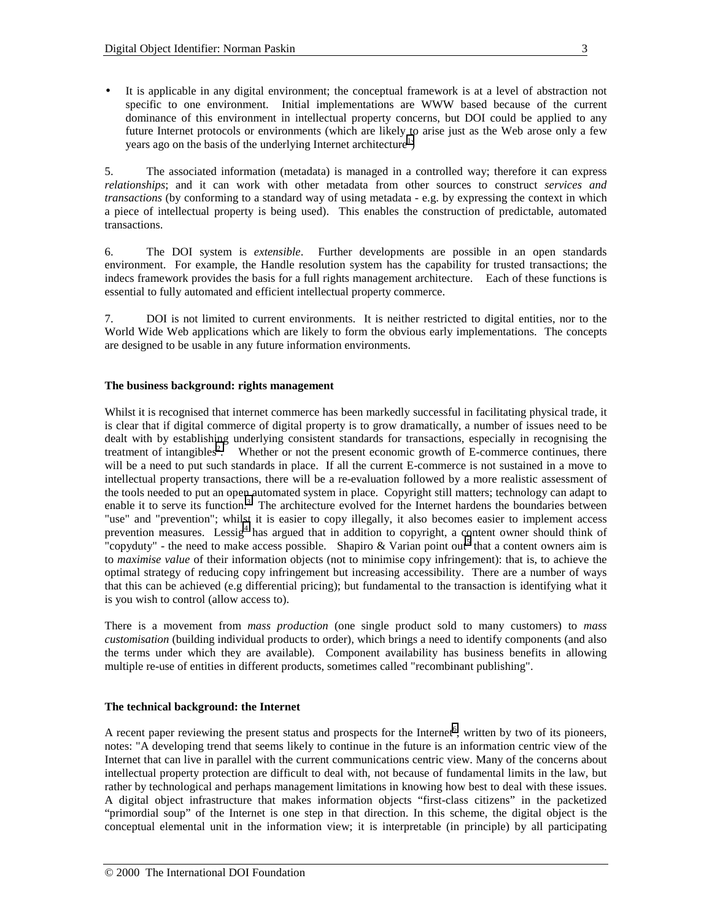• It is applicable in any digital environment; the conceptual framework is at a level of abstraction not specific to one environment. Initial implementations are WWW based because of the current dominance of this environment in intellectual property concerns, but DOI could be applied to any future Internet protocols or environments (which are likely to arise just as the Web arose only a few years ago on the basis of the underlying Internet architecture<sup>[1](#page-19-0)</sup>)

5. The associated information (metadata) is managed in a controlled way; therefore it can express *relationships*; and it can work with other metadata from other sources to construct *services and transactions* (by conforming to a standard way of using metadata - e.g. by expressing the context in which a piece of intellectual property is being used). This enables the construction of predictable, automated transactions.

6. The DOI system is *extensible*. Further developments are possible in an open standards environment. For example, the Handle resolution system has the capability for trusted transactions; the indecs framework provides the basis for a full rights management architecture. Each of these functions is essential to fully automated and efficient intellectual property commerce.

7. DOI is not limited to current environments. It is neither restricted to digital entities, nor to the World Wide Web applications which are likely to form the obvious early implementations. The concepts are designed to be usable in any future information environments.

## **The business background: rights management**

Whilst it is recognised that internet commerce has been markedly successful in facilitating physical trade, it is clear that if digital commerce of digital property is to grow dramatically, a number of issues need to be dealt with by establishing underlying consistent standards for transactions, especially in recognising the treatment of intangibles<sup>[2](#page-19-0)</sup>. Whether or not the present economic growth of E-commerce continues, there will be a need to put such standards in place. If all the current E-commerce is not sustained in a move to intellectual property transactions, there will be a re-evaluation followed by a more realistic assessment of the tools needed to put an open automated system in place. Copyright still matters; technology can adapt to enable it to serve its function.<sup>[3](#page-19-0)</sup> The architecture evolved for the Internet hardens the boundaries between "use" and "prevention"; whilst it is easier to copy illegally, it also becomes easier to implement access prevention measures. Lessig<sup>[4](#page-19-0)</sup> has argued that in addition to copyright, a content owner should think of "copyduty" - the need to make access possible. Shapiro & Varian point out<sup>[5](#page-19-0)</sup> that a content owners aim is to *maximise value* of their information objects (not to minimise copy infringement): that is, to achieve the optimal strategy of reducing copy infringement but increasing accessibility. There are a number of ways that this can be achieved (e.g differential pricing); but fundamental to the transaction is identifying what it is you wish to control (allow access to).

There is a movement from *mass production* (one single product sold to many customers) to *mass customisation* (building individual products to order), which brings a need to identify components (and also the terms under which they are available). Component availability has business benefits in allowing multiple re-use of entities in different products, sometimes called "recombinant publishing".

## **The technical background: the Internet**

A recent paper reviewing the present status and prospects for the Internet<sup>[6](#page-19-0)</sup>, written by two of its pioneers, notes: "A developing trend that seems likely to continue in the future is an information centric view of the Internet that can live in parallel with the current communications centric view. Many of the concerns about intellectual property protection are difficult to deal with, not because of fundamental limits in the law, but rather by technological and perhaps management limitations in knowing how best to deal with these issues. A digital object infrastructure that makes information objects "first-class citizens" in the packetized "primordial soup" of the Internet is one step in that direction. In this scheme, the digital object is the conceptual elemental unit in the information view; it is interpretable (in principle) by all participating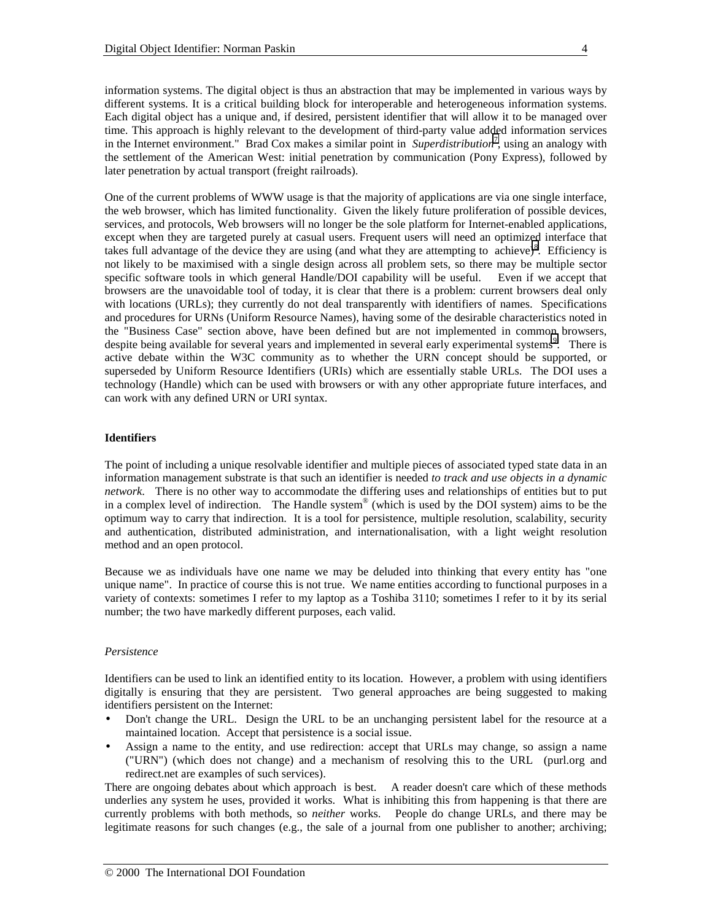information systems. The digital object is thus an abstraction that may be implemented in various ways by different systems. It is a critical building block for interoperable and heterogeneous information systems. Each digital object has a unique and, if desired, persistent identifier that will allow it to be managed over time. This approach is highly relevant to the development of third-party value added information services in the Internet environment." Brad Cox makes a similar point in *Superdistribution*[7](#page-19-0) , using an analogy with the settlement of the American West: initial penetration by communication (Pony Express), followed by later penetration by actual transport (freight railroads).

One of the current problems of WWW usage is that the majority of applications are via one single interface, the web browser, which has limited functionality. Given the likely future proliferation of possible devices, services, and protocols, Web browsers will no longer be the sole platform for Internet-enabled applications, except when they are targeted purely at casual users. Frequent users will need an optimized interface that takes full advantage of the device they are using (and what they are attempting to achieve)<sup>[8](#page-19-0)</sup>. Efficiency is not likely to be maximised with a single design across all problem sets, so there may be multiple sector specific software tools in which general Handle/DOI capability will be useful. Even if we accept that browsers are the unavoidable tool of today, it is clear that there is a problem: current browsers deal only with locations (URLs); they currently do not deal transparently with identifiers of names. Specifications and procedures for URNs (Uniform Resource Names), having some of the desirable characteristics noted in the "Business Case" section above, have been defined but are not implemented in commo[n](#page-19-0) browsers, despite being available for several years and implemented in several early experimental systems<sup>9</sup>. There is active debate within the W3C community as to whether the URN concept should be supported, or superseded by Uniform Resource Identifiers (URIs) which are essentially stable URLs. The DOI uses a technology (Handle) which can be used with browsers or with any other appropriate future interfaces, and can work with any defined URN or URI syntax.

## **Identifiers**

The point of including a unique resolvable identifier and multiple pieces of associated typed state data in an information management substrate is that such an identifier is needed *to track and use objects in a dynamic network*. There is no other way to accommodate the differing uses and relationships of entities but to put in a complex level of indirection. The Handle system® (which is used by the DOI system) aims to be the optimum way to carry that indirection. It is a tool for persistence, multiple resolution, scalability, security and authentication, distributed administration, and internationalisation, with a light weight resolution method and an open protocol.

Because we as individuals have one name we may be deluded into thinking that every entity has "one unique name". In practice of course this is not true. We name entities according to functional purposes in a variety of contexts: sometimes I refer to my laptop as a Toshiba 3110; sometimes I refer to it by its serial number; the two have markedly different purposes, each valid.

#### *Persistence*

Identifiers can be used to link an identified entity to its location. However, a problem with using identifiers digitally is ensuring that they are persistent. Two general approaches are being suggested to making identifiers persistent on the Internet:

- Don't change the URL. Design the URL to be an unchanging persistent label for the resource at a maintained location. Accept that persistence is a social issue.
- Assign a name to the entity, and use redirection: accept that URLs may change, so assign a name ("URN") (which does not change) and a mechanism of resolving this to the URL (purl.org and redirect.net are examples of such services).

There are ongoing debates about which approach is best. A reader doesn't care which of these methods underlies any system he uses, provided it works. What is inhibiting this from happening is that there are currently problems with both methods, so *neither* works. People do change URLs, and there may be legitimate reasons for such changes (e.g., the sale of a journal from one publisher to another; archiving;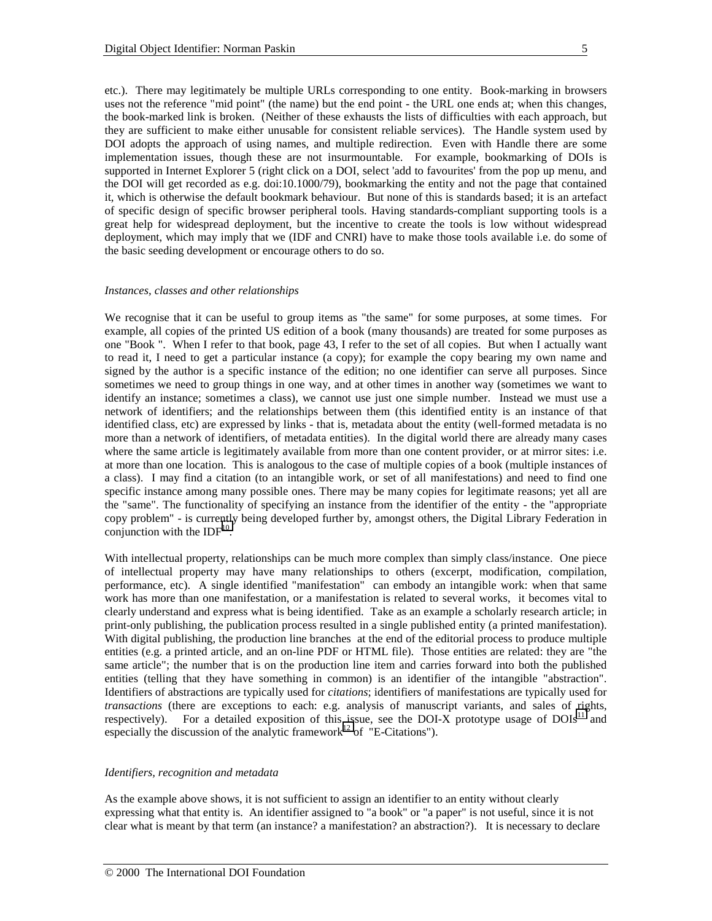etc.). There may legitimately be multiple URLs corresponding to one entity. Book-marking in browsers uses not the reference "mid point" (the name) but the end point - the URL one ends at; when this changes, the book-marked link is broken. (Neither of these exhausts the lists of difficulties with each approach, but they are sufficient to make either unusable for consistent reliable services). The Handle system used by DOI adopts the approach of using names, and multiple redirection. Even with Handle there are some implementation issues, though these are not insurmountable. For example, bookmarking of DOIs is supported in Internet Explorer 5 (right click on a DOI, select 'add to favourites' from the pop up menu, and the DOI will get recorded as e.g. doi:10.1000/79), bookmarking the entity and not the page that contained it, which is otherwise the default bookmark behaviour. But none of this is standards based; it is an artefact of specific design of specific browser peripheral tools. Having standards-compliant supporting tools is a great help for widespread deployment, but the incentive to create the tools is low without widespread deployment, which may imply that we (IDF and CNRI) have to make those tools available i.e. do some of the basic seeding development or encourage others to do so.

#### *Instances, classes and other relationships*

We recognise that it can be useful to group items as "the same" for some purposes, at some times. For example, all copies of the printed US edition of a book (many thousands) are treated for some purposes as one "Book ". When I refer to that book, page 43, I refer to the set of all copies. But when I actually want to read it, I need to get a particular instance (a copy); for example the copy bearing my own name and signed by the author is a specific instance of the edition; no one identifier can serve all purposes. Since sometimes we need to group things in one way, and at other times in another way (sometimes we want to identify an instance; sometimes a class), we cannot use just one simple number. Instead we must use a network of identifiers; and the relationships between them (this identified entity is an instance of that identified class, etc) are expressed by links - that is, metadata about the entity (well-formed metadata is no more than a network of identifiers, of metadata entities). In the digital world there are already many cases where the same article is legitimately available from more than one content provider, or at mirror sites: i.e. at more than one location. This is analogous to the case of multiple copies of a book (multiple instances of a class). I may find a citation (to an intangible work, or set of all manifestations) and need to find one specific instance among many possible ones. There may be many copies for legitimate reasons; yet all are the "same". The functionality of specifying an instance from the identifier of the entity - the "appropriate copy problem" - is currently being developed further by, amongst others, the Digital Library Federation in conjunction with the  $IDF<sup>10</sup>$ .

With intellectual property, relationships can be much more complex than simply class/instance. One piece of intellectual property may have many relationships to others (excerpt, modification, compilation, performance, etc). A single identified "manifestation" can embody an intangible work: when that same work has more than one manifestation, or a manifestation is related to several works, it becomes vital to clearly understand and express what is being identified. Take as an example a scholarly research article; in print-only publishing, the publication process resulted in a single published entity (a printed manifestation). With digital publishing, the production line branches at the end of the editorial process to produce multiple entities (e.g. a printed article, and an on-line PDF or HTML file). Those entities are related: they are "the same article"; the number that is on the production line item and carries forward into both the published entities (telling that they have something in common) is an identifier of the intangible "abstraction". Identifiers of abstractions are typically used for *citations*; identifiers of manifestations are typically used for *transactions* (there are exceptions to each: e.g. analysis of manuscript variants, and sales of rights, respectively). For a detailed exposition of this issue, see the  $DOLX$  prototype usage of  $DOLs<sup>11</sup>$  and especially the discussion of the analytic framework<sup>12</sup> of "E-Citations").

#### *Identifiers, recognition and metadata*

As the example above shows, it is not sufficient to assign an identifier to an entity without clearly expressing what that entity is. An identifier assigned to "a book" or "a paper" is not useful, since it is not clear what is meant by that term (an instance? a manifestation? an abstraction?). It is necessary to declare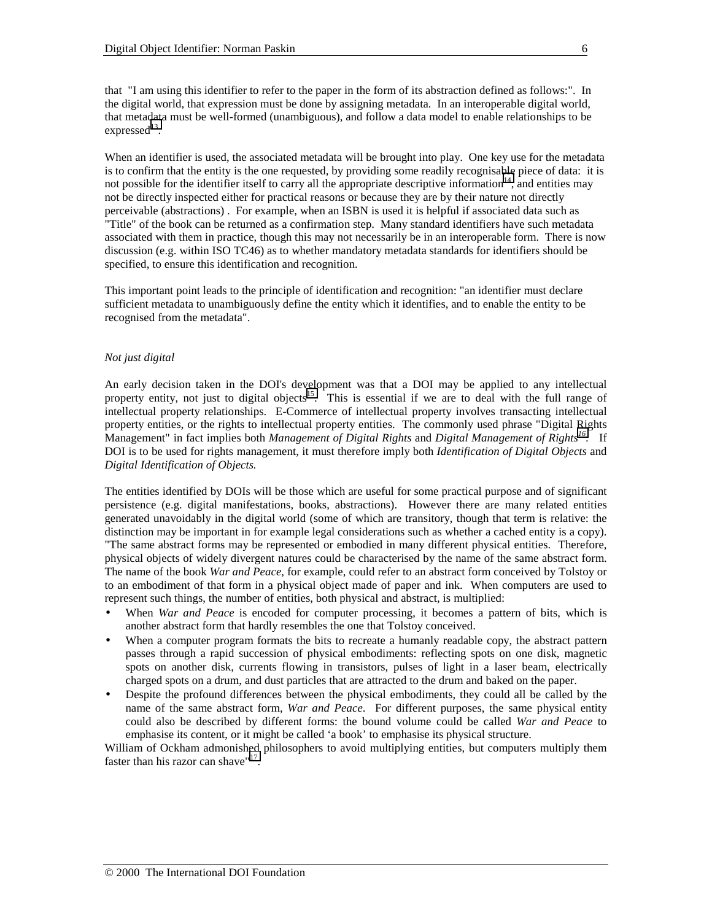When an identifier is used, the associated metadata will be brought into play. One key use for the metadata is to confirm that the entity is the one requested, by providing some readily recognisable piece of data: it is not possible for the identifier itself to carry all the appropriate descriptive information<sup>14</sup>, and entities may not be directly inspected either for practical reasons or because they are by their nature not directly perceivable (abstractions) . For example, when an ISBN is used it is helpful if associated data such as "Title" of the book can be returned as a confirmation step. Many standard identifiers have such metadata associated with them in practice, though this may not necessarily be in an interoperable form. There is now discussion (e.g. within ISO TC46) as to whether mandatory metadata standards for identifiers should be specified, to ensure this identification and recognition.

This important point leads to the principle of identification and recognition: "an identifier must declare sufficient metadata to unambiguously define the entity which it identifies, and to enable the entity to be recognised from the metadata".

## *Not just digital*

expressed $^{13}$ .

An early decision taken in the DOI's development was that a DOI may be applied to any intellectual property entity, not just to digital objects<sup>15</sup>. This is essential if we are to deal with the full range of intellectual property relationships. E-Commerce of intellectual property involves transacting intellectual property entities, or the rights to intellectual property entities. The commonly used phrase "Digital Rights Management" in fact implies both *Management of Digital Rights* and *Digital Management of Right[s16](#page-19-0)*. If DOI is to be used for rights management, it must therefore imply both *Identification of Digital Objects* and *Digital Identification of Objects.*

The entities identified by DOIs will be those which are useful for some practical purpose and of significant persistence (e.g. digital manifestations, books, abstractions). However there are many related entities generated unavoidably in the digital world (some of which are transitory, though that term is relative: the distinction may be important in for example legal considerations such as whether a cached entity is a copy). "The same abstract forms may be represented or embodied in many different physical entities. Therefore, physical objects of widely divergent natures could be characterised by the name of the same abstract form. The name of the book *War and Peace*, for example, could refer to an abstract form conceived by Tolstoy or to an embodiment of that form in a physical object made of paper and ink. When computers are used to represent such things, the number of entities, both physical and abstract, is multiplied:

- When *War and Peace* is encoded for computer processing, it becomes a pattern of bits, which is another abstract form that hardly resembles the one that Tolstoy conceived.
- When a computer program formats the bits to recreate a humanly readable copy, the abstract pattern passes through a rapid succession of physical embodiments: reflecting spots on one disk, magnetic spots on another disk, currents flowing in transistors, pulses of light in a laser beam, electrically charged spots on a drum, and dust particles that are attracted to the drum and baked on the paper.
- Despite the profound differences between the physical embodiments, they could all be called by the name of the same abstract form, *War and Peace*. For different purposes, the same physical entity could also be described by different forms: the bound volume could be called *War and Peace* to emphasise its content, or it might be called 'a book' to emphasise its physical structure.

William of Ockham admonished philosophers to avoid multiplying entities, but computers multiply them faster than his razor can shave"<sup>17</sup>.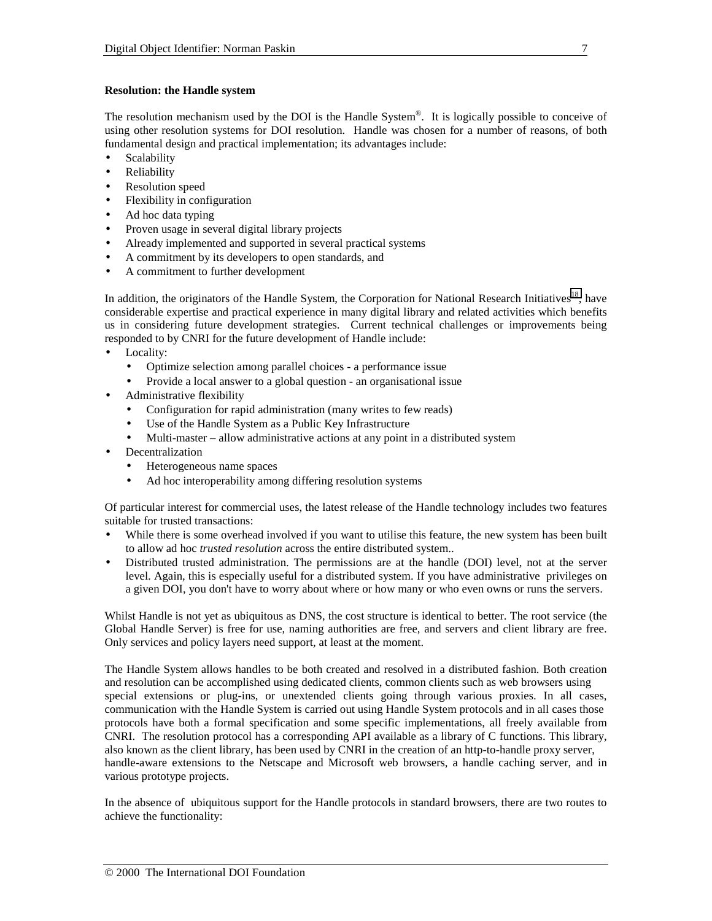## **Resolution: the Handle system**

The resolution mechanism used by the DOI is the Handle System®. It is logically possible to conceive of using other resolution systems for DOI resolution. Handle was chosen for a number of reasons, of both fundamental design and practical implementation; its advantages include:

- **Scalability**
- Reliability
- Resolution speed
- Flexibility in configuration
- Ad hoc data typing
- Proven usage in several digital library projects
- Already implemented and supported in several practical systems
- A commitment by its developers to open standards, and
- A commitment to further development

In addition, the originators of the Handle System, the Corporation for National Research Initiatives<sup>18</sup>, have considerable expertise and practical experience in many digital library and related activities which benefits us in considering future development strategies. Current technical challenges or improvements being responded to by CNRI for the future development of Handle include:

- Locality:
	- Optimize selection among parallel choices a performance issue
	- Provide a local answer to a global question an organisational issue
- Administrative flexibility
	- Configuration for rapid administration (many writes to few reads)
	- Use of the Handle System as a Public Key Infrastructure
	- Multi-master allow administrative actions at any point in a distributed system
- **Decentralization** 
	- Heterogeneous name spaces
	- Ad hoc interoperability among differing resolution systems

Of particular interest for commercial uses, the latest release of the Handle technology includes two features suitable for trusted transactions:

- While there is some overhead involved if you want to utilise this feature, the new system has been built to allow ad hoc *trusted resolution* across the entire distributed system..
- Distributed trusted administration. The permissions are at the handle (DOI) level, not at the server level. Again, this is especially useful for a distributed system. If you have administrative privileges on a given DOI, you don't have to worry about where or how many or who even owns or runs the servers.

Whilst Handle is not yet as ubiquitous as DNS, the cost structure is identical to better. The root service (the Global Handle Server) is free for use, naming authorities are free, and servers and client library are free. Only services and policy layers need support, at least at the moment.

The Handle System allows handles to be both created and resolved in a distributed fashion. Both creation and resolution can be accomplished using dedicated clients, common clients such as web browsers using special extensions or plug-ins, or unextended clients going through various proxies. In all cases, communication with the Handle System is carried out using Handle System protocols and in all cases those protocols have both a formal specification and some specific implementations, all freely available from CNRI. The resolution protocol has a corresponding API available as a library of C functions. This library, also known as the client library, has been used by CNRI in the creation of an http-to-handle proxy server, handle-aware extensions to the Netscape and Microsoft web browsers, a handle caching server, and in various prototype projects.

In the absence of ubiquitous support for the Handle protocols in standard browsers, there are two routes to achieve the functionality: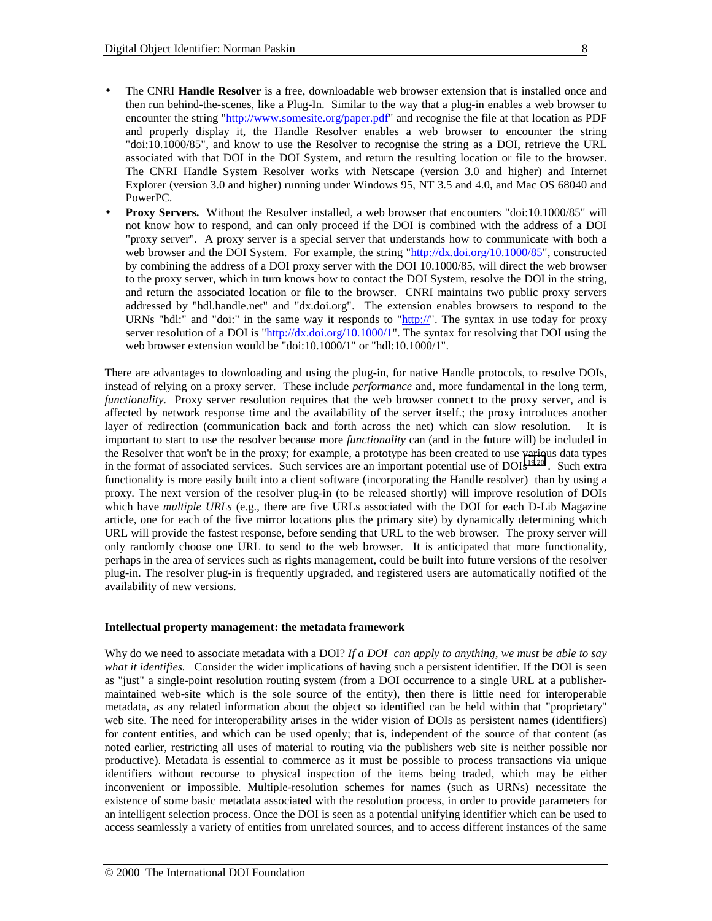- The CNRI **Handle Resolver** is a free, downloadable web browser extension that is installed once and then run behind-the-scenes, like a Plug-In. Similar to the way that a plug-in enables a web browser to encounter the string "http://www.somesite.org/paper.pdf" and recognise the file at that location as PDF and properly display it, the Handle Resolver enables a web browser to encounter the string "doi:10.1000/85", and know to use the Resolver to recognise the string as a DOI, retrieve the URL associated with that DOI in the DOI System, and return the resulting location or file to the browser. The CNRI Handle System Resolver works with Netscape (version 3.0 and higher) and Internet Explorer (version 3.0 and higher) running under Windows 95, NT 3.5 and 4.0, and Mac OS 68040 and PowerPC.
- **Proxy Servers.** Without the Resolver installed, a web browser that encounters "doi:10.1000/85" will not know how to respond, and can only proceed if the DOI is combined with the address of a DOI "proxy server". A proxy server is a special server that understands how to communicate with both a web browser and the DOI System. For example, the string "http://dx.doi.org/10.1000/85", constructed by combining the address of a DOI proxy server with the DOI 10.1000/85, will direct the web browser to the proxy server, which in turn knows how to contact the DOI System, resolve the DOI in the string, and return the associated location or file to the browser. CNRI maintains two public proxy servers addressed by "hdl.handle.net" and "dx.doi.org". The extension enables browsers to respond to the URNs "hdl:" and "doi:" in the same way it responds to "http://". The syntax in use today for proxy server resolution of a DOI is "http://dx.doi.org/10.1000/1". The syntax for resolving that DOI using the web browser extension would be "doi:10.1000/1" or "hdl:10.1000/1".

There are advantages to downloading and using the plug-in, for native Handle protocols, to resolve DOIs, instead of relying on a proxy server. These include *performance* and, more fundamental in the long term, *functionality*. Proxy server resolution requires that the web browser connect to the proxy server, and is affected by network response time and the availability of the server itself.; the proxy introduces another layer of redirection (communication back and forth across the net) which can slow resolution. It is important to start to use the resolver because more *functionality* can (and in the future will) be included in the Resolver that won't be in the proxy; for example, a prototype has been created to use various data types in the format of associated services. Such services are an important potential use of  $DOIs<sup>19,20</sup>$ . Such extra functionality is more easily built into a client software (incorporating the Handle resolver) than by using a proxy. The next version of the resolver plug-in (to be released shortly) will improve resolution of DOIs which have *multiple URLs* (e.g., there are five URLs associated with the DOI for each D-Lib Magazine article, one for each of the five mirror locations plus the primary site) by dynamically determining which URL will provide the fastest response, before sending that URL to the web browser. The proxy server will only randomly choose one URL to send to the web browser. It is anticipated that more functionality, perhaps in the area of services such as rights management, could be built into future versions of the resolver plug-in. The resolver plug-in is frequently upgraded, and registered users are automatically notified of the availability of new versions.

#### **Intellectual property management: the metadata framework**

Why do we need to associate metadata with a DOI? *If a DOI can apply to anything, we must be able to say what it identifies.* Consider the wider implications of having such a persistent identifier. If the DOI is seen as "just" a single-point resolution routing system (from a DOI occurrence to a single URL at a publishermaintained web-site which is the sole source of the entity), then there is little need for interoperable metadata, as any related information about the object so identified can be held within that "proprietary" web site. The need for interoperability arises in the wider vision of DOIs as persistent names (identifiers) for content entities, and which can be used openly; that is, independent of the source of that content (as noted earlier, restricting all uses of material to routing via the publishers web site is neither possible nor productive). Metadata is essential to commerce as it must be possible to process transactions via unique identifiers without recourse to physical inspection of the items being traded, which may be either inconvenient or impossible. Multiple-resolution schemes for names (such as URNs) necessitate the existence of some basic metadata associated with the resolution process, in order to provide parameters for an intelligent selection process. Once the DOI is seen as a potential unifying identifier which can be used to access seamlessly a variety of entities from unrelated sources, and to access different instances of the same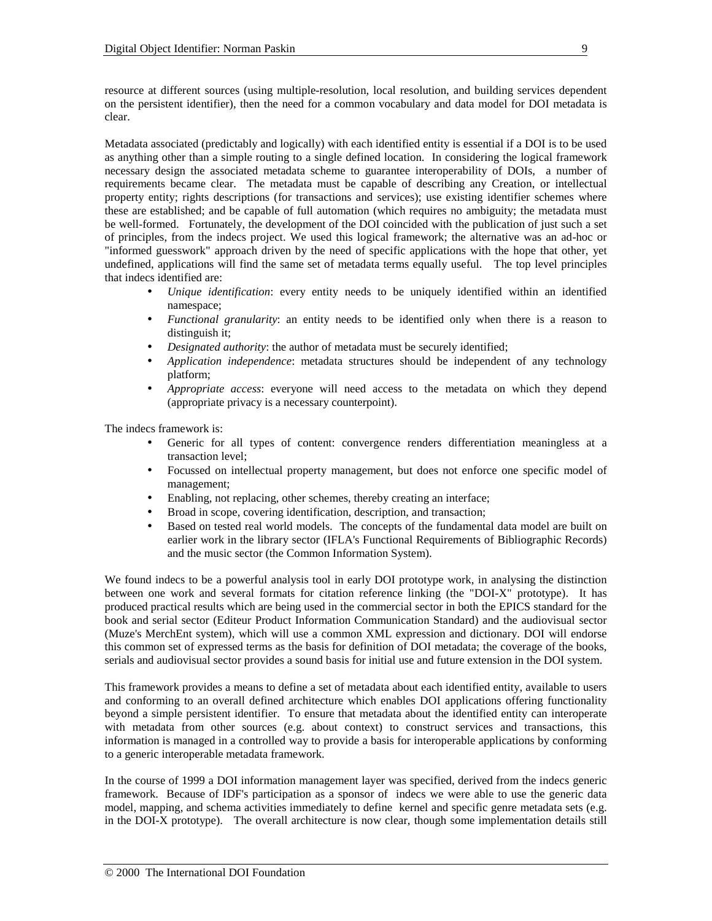resource at different sources (using multiple-resolution, local resolution, and building services dependent on the persistent identifier), then the need for a common vocabulary and data model for DOI metadata is clear.

Metadata associated (predictably and logically) with each identified entity is essential if a DOI is to be used as anything other than a simple routing to a single defined location. In considering the logical framework necessary design the associated metadata scheme to guarantee interoperability of DOIs, a number of requirements became clear. The metadata must be capable of describing any Creation, or intellectual property entity; rights descriptions (for transactions and services); use existing identifier schemes where these are established; and be capable of full automation (which requires no ambiguity; the metadata must be well-formed. Fortunately, the development of the DOI coincided with the publication of just such a set of principles, from the indecs project. We used this logical framework; the alternative was an ad-hoc or "informed guesswork" approach driven by the need of specific applications with the hope that other, yet undefined, applications will find the same set of metadata terms equally useful. The top level principles that indecs identified are:

- *Unique identification*: every entity needs to be uniquely identified within an identified namespace;
- *Functional granularity*: an entity needs to be identified only when there is a reason to distinguish it;
- *Designated authority*: the author of metadata must be securely identified;
- *Application independence*: metadata structures should be independent of any technology platform;
- *Appropriate access*: everyone will need access to the metadata on which they depend (appropriate privacy is a necessary counterpoint).

The indecs framework is:

- Generic for all types of content: convergence renders differentiation meaningless at a transaction level;
- Focussed on intellectual property management, but does not enforce one specific model of management;
- Enabling, not replacing, other schemes, thereby creating an interface;
- Broad in scope, covering identification, description, and transaction;
- Based on tested real world models. The concepts of the fundamental data model are built on earlier work in the library sector (IFLA's Functional Requirements of Bibliographic Records) and the music sector (the Common Information System).

We found indecs to be a powerful analysis tool in early DOI prototype work, in analysing the distinction between one work and several formats for citation reference linking (the "DOI-X" prototype). It has produced practical results which are being used in the commercial sector in both the EPICS standard for the book and serial sector (Editeur Product Information Communication Standard) and the audiovisual sector (Muze's MerchEnt system), which will use a common XML expression and dictionary. DOI will endorse this common set of expressed terms as the basis for definition of DOI metadata; the coverage of the books, serials and audiovisual sector provides a sound basis for initial use and future extension in the DOI system.

This framework provides a means to define a set of metadata about each identified entity, available to users and conforming to an overall defined architecture which enables DOI applications offering functionality beyond a simple persistent identifier. To ensure that metadata about the identified entity can interoperate with metadata from other sources (e.g. about context) to construct services and transactions, this information is managed in a controlled way to provide a basis for interoperable applications by conforming to a generic interoperable metadata framework.

In the course of 1999 a DOI information management layer was specified, derived from the indecs generic framework. Because of IDF's participation as a sponsor of indecs we were able to use the generic data model, mapping, and schema activities immediately to define kernel and specific genre metadata sets (e.g. in the DOI-X prototype). The overall architecture is now clear, though some implementation details still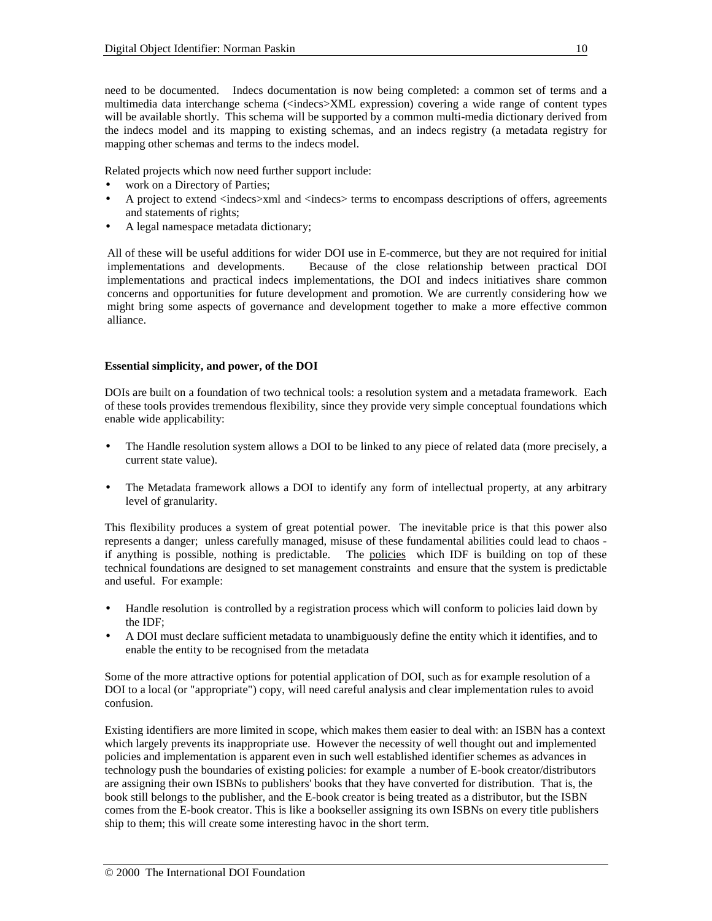need to be documented. Indecs documentation is now being completed: a common set of terms and a multimedia data interchange schema (<indecs>XML expression) covering a wide range of content types will be available shortly. This schema will be supported by a common multi-media dictionary derived from the indecs model and its mapping to existing schemas, and an indecs registry (a metadata registry for mapping other schemas and terms to the indecs model.

Related projects which now need further support include:

- work on a Directory of Parties;
- A project to extend <indecs>xml and <indecs> terms to encompass descriptions of offers, agreements and statements of rights;
- A legal namespace metadata dictionary;

All of these will be useful additions for wider DOI use in E-commerce, but they are not required for initial implementations and developments. Because of the close relationship between practical DOI implementations and practical indecs implementations, the DOI and indecs initiatives share common concerns and opportunities for future development and promotion. We are currently considering how we might bring some aspects of governance and development together to make a more effective common alliance.

## **Essential simplicity, and power, of the DOI**

DOIs are built on a foundation of two technical tools: a resolution system and a metadata framework. Each of these tools provides tremendous flexibility, since they provide very simple conceptual foundations which enable wide applicability:

- The Handle resolution system allows a DOI to be linked to any piece of related data (more precisely, a current state value).
- The Metadata framework allows a DOI to identify any form of intellectual property, at any arbitrary level of granularity.

This flexibility produces a system of great potential power. The inevitable price is that this power also represents a danger; unless carefully managed, misuse of these fundamental abilities could lead to chaos if anything is possible, nothing is predictable. The policies which IDF is building on top of these technical foundations are designed to set management constraints and ensure that the system is predictable and useful. For example:

- Handle resolution is controlled by a registration process which will conform to policies laid down by the IDF;
- A DOI must declare sufficient metadata to unambiguously define the entity which it identifies, and to enable the entity to be recognised from the metadata

Some of the more attractive options for potential application of DOI, such as for example resolution of a DOI to a local (or "appropriate") copy, will need careful analysis and clear implementation rules to avoid confusion.

Existing identifiers are more limited in scope, which makes them easier to deal with: an ISBN has a context which largely prevents its inappropriate use. However the necessity of well thought out and implemented policies and implementation is apparent even in such well established identifier schemes as advances in technology push the boundaries of existing policies: for example a number of E-book creator/distributors are assigning their own ISBNs to publishers' books that they have converted for distribution. That is, the book still belongs to the publisher, and the E-book creator is being treated as a distributor, but the ISBN comes from the E-book creator. This is like a bookseller assigning its own ISBNs on every title publishers ship to them; this will create some interesting havoc in the short term.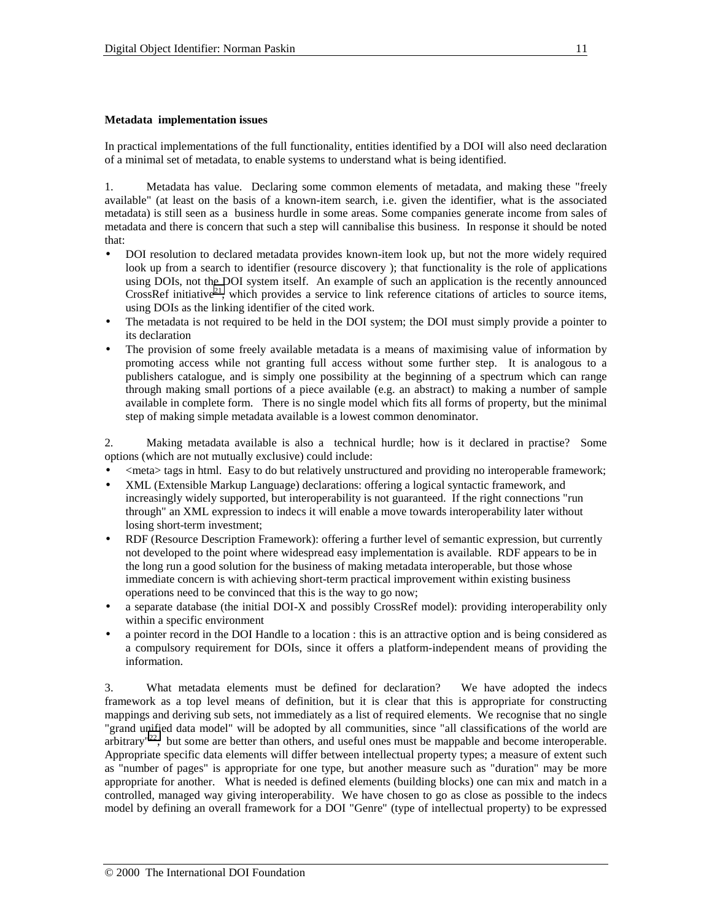#### **Metadata implementation issues**

In practical implementations of the full functionality, entities identified by a DOI will also need declaration of a minimal set of metadata, to enable systems to understand what is being identified.

1. Metadata has value. Declaring some common elements of metadata, and making these "freely available" (at least on the basis of a known-item search, i.e. given the identifier, what is the associated metadata) is still seen as a business hurdle in some areas. Some companies generate income from sales of metadata and there is concern that such a step will cannibalise this business. In response it should be noted that:

- DOI resolution to declared metadata provides known-item look up, but not the more widely required look up from a search to identifier (resource discovery ); that functionality is the role of applications using DOIs, not the DOI system itself. An example of such an application is the recently announced CrossRef initiative<sup>21</sup>, which provides a service to link reference citations of articles to source items, using DOIs as the linking identifier of the cited work.
- The metadata is not required to be held in the DOI system; the DOI must simply provide a pointer to its declaration
- The provision of some freely available metadata is a means of maximising value of information by promoting access while not granting full access without some further step. It is analogous to a publishers catalogue, and is simply one possibility at the beginning of a spectrum which can range through making small portions of a piece available (e.g. an abstract) to making a number of sample available in complete form. There is no single model which fits all forms of property, but the minimal step of making simple metadata available is a lowest common denominator.

2. Making metadata available is also a technical hurdle; how is it declared in practise? Some options (which are not mutually exclusive) could include:

- <meta> tags in html. Easy to do but relatively unstructured and providing no interoperable framework;
- XML (Extensible Markup Language) declarations: offering a logical syntactic framework, and increasingly widely supported, but interoperability is not guaranteed. If the right connections "run through" an XML expression to indecs it will enable a move towards interoperability later without losing short-term investment;
- RDF (Resource Description Framework): offering a further level of semantic expression, but currently not developed to the point where widespread easy implementation is available. RDF appears to be in the long run a good solution for the business of making metadata interoperable, but those whose immediate concern is with achieving short-term practical improvement within existing business operations need to be convinced that this is the way to go now;
- a separate database (the initial DOI-X and possibly CrossRef model): providing interoperability only within a specific environment
- a pointer record in the DOI Handle to a location : this is an attractive option and is being considered as a compulsory requirement for DOIs, since it offers a platform-independent means of providing the information.

3. What metadata elements must be defined for declaration? We have adopted the indecs framework as a top level means of definition, but it is clear that this is appropriate for constructing mappings and deriving sub sets, not immediately as a list of required elements. We recognise that no single "grand unified data model" will be adopted by all communities, since "all classifications of the world are arbitrary"<sup>22</sup>; but some are better than others, and useful ones must be mappable and become interoperable. Appropriate specific data elements will differ between intellectual property types; a measure of extent such as "number of pages" is appropriate for one type, but another measure such as "duration" may be more appropriate for another. What is needed is defined elements (building blocks) one can mix and match in a controlled, managed way giving interoperability. We have chosen to go as close as possible to the indecs model by defining an overall framework for a DOI "Genre" (type of intellectual property) to be expressed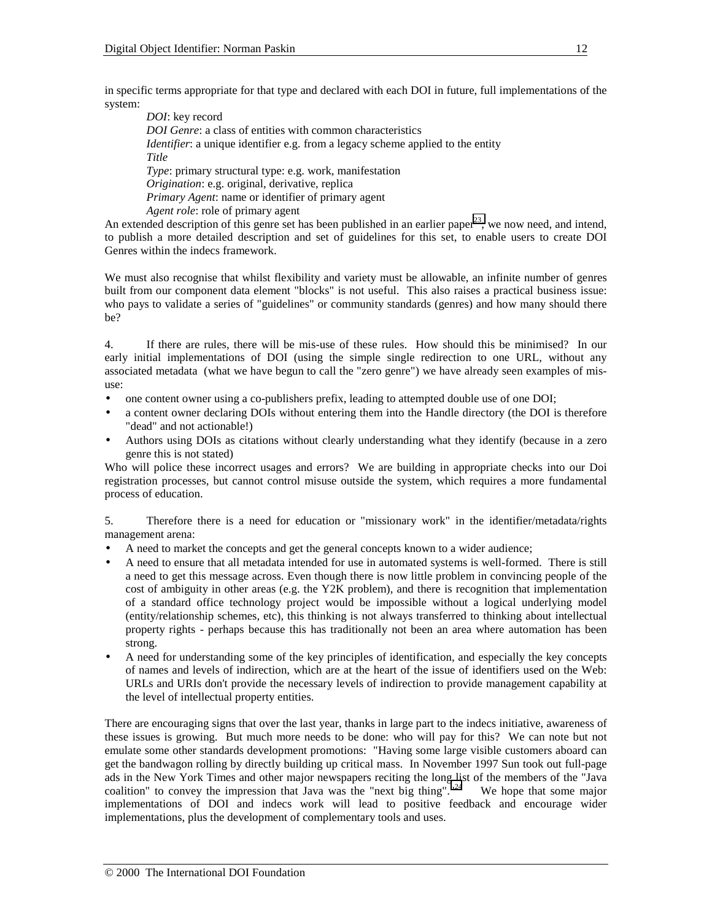in specific terms appropriate for that type and declared with each DOI in future, full implementations of the system:

*DOI*: key record *DOI Genre*: a class of entities with common characteristics *Identifier*: a unique identifier e.g. from a legacy scheme applied to the entity *Title Type*: primary structural type: e.g. work, manifestation *Origination*: e.g. original, derivative, replica *Primary Agent*: name or identifier of primary agent *Agent role*: role of primary agent

An extended description of this genre set has been published in an earlier paper<sup>23</sup>; we now need, and intend, to publish a more detailed description and set of guidelines for this set, to enable users to create DOI Genres within the indecs framework.

We must also recognise that whilst flexibility and variety must be allowable, an infinite number of genres built from our component data element "blocks" is not useful. This also raises a practical business issue: who pays to validate a series of "guidelines" or community standards (genres) and how many should there be?

4. If there are rules, there will be mis-use of these rules. How should this be minimised? In our early initial implementations of DOI (using the simple single redirection to one URL, without any associated metadata (what we have begun to call the "zero genre") we have already seen examples of misuse:

- one content owner using a co-publishers prefix, leading to attempted double use of one DOI;
- a content owner declaring DOIs without entering them into the Handle directory (the DOI is therefore "dead" and not actionable!)
- Authors using DOIs as citations without clearly understanding what they identify (because in a zero genre this is not stated)

Who will police these incorrect usages and errors? We are building in appropriate checks into our Doi registration processes, but cannot control misuse outside the system, which requires a more fundamental process of education.

5. Therefore there is a need for education or "missionary work" in the identifier/metadata/rights management arena:

- A need to market the concepts and get the general concepts known to a wider audience;
- A need to ensure that all metadata intended for use in automated systems is well-formed. There is still a need to get this message across. Even though there is now little problem in convincing people of the cost of ambiguity in other areas (e.g. the Y2K problem), and there is recognition that implementation of a standard office technology project would be impossible without a logical underlying model (entity/relationship schemes, etc), this thinking is not always transferred to thinking about intellectual property rights - perhaps because this has traditionally not been an area where automation has been strong.
- A need for understanding some of the key principles of identification, and especially the key concepts of names and levels of indirection, which are at the heart of the issue of identifiers used on the Web: URLs and URIs don't provide the necessary levels of indirection to provide management capability at the level of intellectual property entities.

There are encouraging signs that over the last year, thanks in large part to the indecs initiative, awareness of these issues is growing. But much more needs to be done: who will pay for this? We can note but not emulate some other standards development promotions: "Having some large visible customers aboard can get the bandwagon rolling by directly building up critical mass. In November 1997 Sun took out full-page ads in the New York Times and other major newspapers reciting the long list of the members of the "Java coalition" to convey the impression that Java was the "next big thing". $"^{24}$  We hope that some major implementations of DOI and indecs work will lead to positive feedback and encourage wider implementations, plus the development of complementary tools and uses.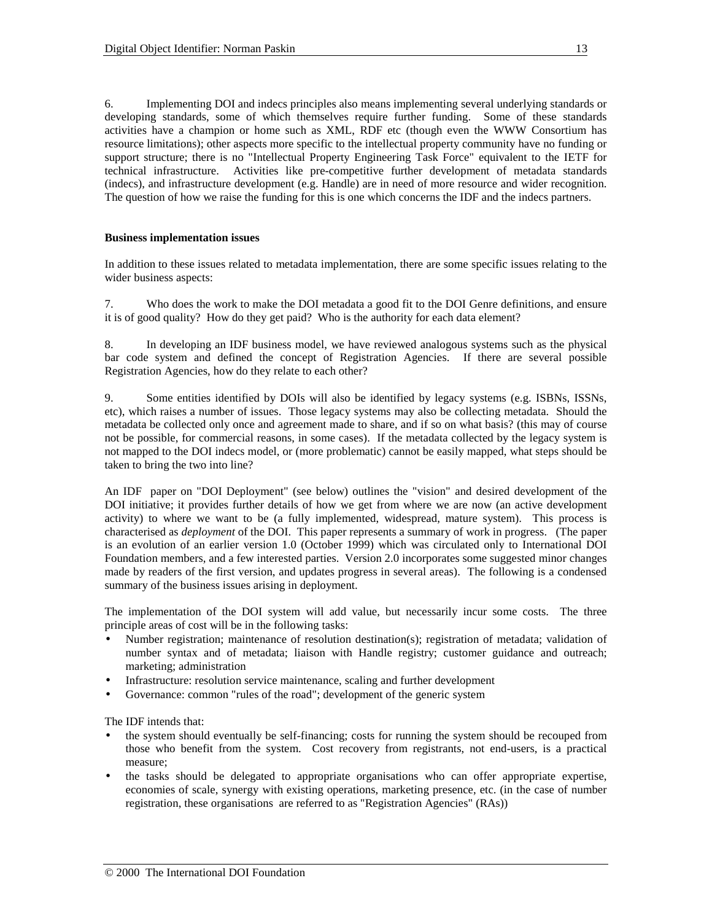6. Implementing DOI and indecs principles also means implementing several underlying standards or developing standards, some of which themselves require further funding. Some of these standards activities have a champion or home such as XML, RDF etc (though even the WWW Consortium has resource limitations); other aspects more specific to the intellectual property community have no funding or support structure; there is no "Intellectual Property Engineering Task Force" equivalent to the IETF for technical infrastructure. Activities like pre-competitive further development of metadata standards (indecs), and infrastructure development (e.g. Handle) are in need of more resource and wider recognition. The question of how we raise the funding for this is one which concerns the IDF and the indecs partners.

## **Business implementation issues**

In addition to these issues related to metadata implementation, there are some specific issues relating to the wider business aspects:

7. Who does the work to make the DOI metadata a good fit to the DOI Genre definitions, and ensure it is of good quality? How do they get paid? Who is the authority for each data element?

8. In developing an IDF business model, we have reviewed analogous systems such as the physical bar code system and defined the concept of Registration Agencies. If there are several possible Registration Agencies, how do they relate to each other?

9. Some entities identified by DOIs will also be identified by legacy systems (e.g. ISBNs, ISSNs, etc), which raises a number of issues. Those legacy systems may also be collecting metadata. Should the metadata be collected only once and agreement made to share, and if so on what basis? (this may of course not be possible, for commercial reasons, in some cases). If the metadata collected by the legacy system is not mapped to the DOI indecs model, or (more problematic) cannot be easily mapped, what steps should be taken to bring the two into line?

An IDF paper on "DOI Deployment" (see below) outlines the "vision" and desired development of the DOI initiative; it provides further details of how we get from where we are now (an active development activity) to where we want to be (a fully implemented, widespread, mature system). This process is characterised as *deployment* of the DOI. This paper represents a summary of work in progress. (The paper is an evolution of an earlier version 1.0 (October 1999) which was circulated only to International DOI Foundation members, and a few interested parties. Version 2.0 incorporates some suggested minor changes made by readers of the first version, and updates progress in several areas). The following is a condensed summary of the business issues arising in deployment.

The implementation of the DOI system will add value, but necessarily incur some costs. The three principle areas of cost will be in the following tasks:

- Number registration; maintenance of resolution destination(s); registration of metadata; validation of number syntax and of metadata; liaison with Handle registry; customer guidance and outreach; marketing; administration
- Infrastructure: resolution service maintenance, scaling and further development
- Governance: common "rules of the road"; development of the generic system

The IDF intends that:

- the system should eventually be self-financing; costs for running the system should be recouped from those who benefit from the system. Cost recovery from registrants, not end-users, is a practical measure;
- the tasks should be delegated to appropriate organisations who can offer appropriate expertise, economies of scale, synergy with existing operations, marketing presence, etc. (in the case of number registration, these organisations are referred to as "Registration Agencies" (RAs))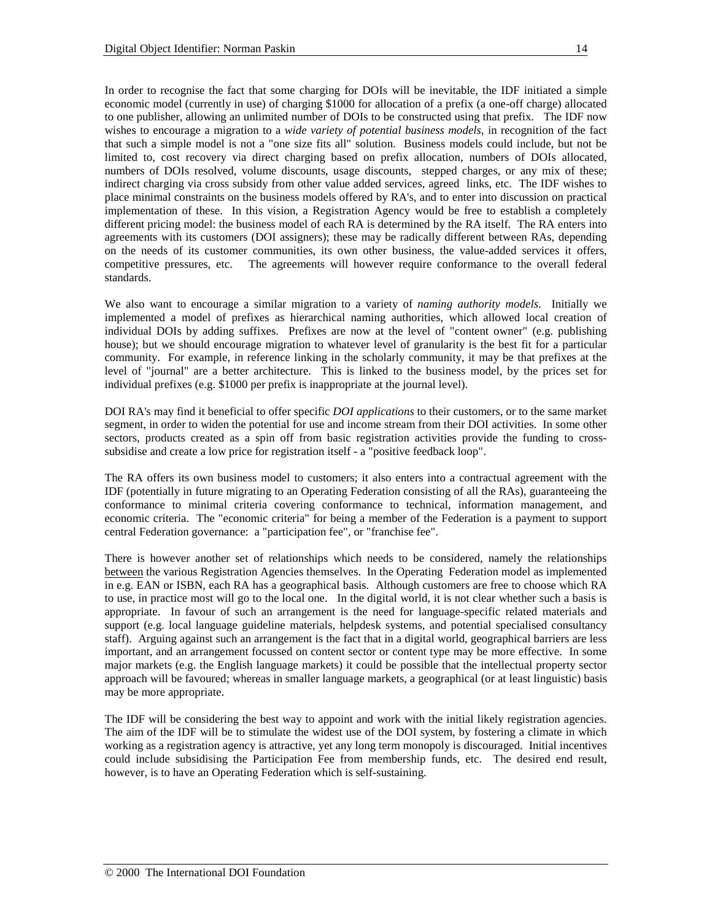In order to recognise the fact that some charging for DOIs will be inevitable, the IDF initiated a simple economic model (currently in use) of charging \$1000 for allocation of a prefix (a one-off charge) allocated to one publisher, allowing an unlimited number of DOIs to be constructed using that prefix. The IDF now wishes to encourage a migration to a *wide variety of potential business models*, in recognition of the fact that such a simple model is not a "one size fits all" solution. Business models could include, but not be limited to, cost recovery via direct charging based on prefix allocation, numbers of DOIs allocated, numbers of DOIs resolved, volume discounts, usage discounts, stepped charges, or any mix of these; indirect charging via cross subsidy from other value added services, agreed links, etc. The IDF wishes to place minimal constraints on the business models offered by RA's, and to enter into discussion on practical implementation of these. In this vision, a Registration Agency would be free to establish a completely different pricing model: the business model of each RA is determined by the RA itself. The RA enters into agreements with its customers (DOI assigners); these may be radically different between RAs, depending on the needs of its customer communities, its own other business, the value-added services it offers, competitive pressures, etc. The agreements will however require conformance to the overall federal standards.

We also want to encourage a similar migration to a variety of *naming authority models*. Initially we implemented a model of prefixes as hierarchical naming authorities, which allowed local creation of individual DOIs by adding suffixes. Prefixes are now at the level of "content owner" (e.g. publishing house); but we should encourage migration to whatever level of granularity is the best fit for a particular community. For example, in reference linking in the scholarly community, it may be that prefixes at the level of "journal" are a better architecture. This is linked to the business model, by the prices set for individual prefixes (e.g. \$1000 per prefix is inappropriate at the journal level).

DOI RA's may find it beneficial to offer specific *DOI applications* to their customers, or to the same market segment, in order to widen the potential for use and income stream from their DOI activities. In some other sectors, products created as a spin off from basic registration activities provide the funding to crosssubsidise and create a low price for registration itself - a "positive feedback loop".

The RA offers its own business model to customers; it also enters into a contractual agreement with the IDF (potentially in future migrating to an Operating Federation consisting of all the RAs), guaranteeing the conformance to minimal criteria covering conformance to technical, information management, and economic criteria. The "economic criteria" for being a member of the Federation is a payment to support central Federation governance: a "participation fee", or "franchise fee".

There is however another set of relationships which needs to be considered, namely the relationships between the various Registration Agencies themselves. In the Operating Federation model as implemented in e.g. EAN or ISBN, each RA has a geographical basis. Although customers are free to choose which RA to use, in practice most will go to the local one. In the digital world, it is not clear whether such a basis is appropriate. In favour of such an arrangement is the need for language-specific related materials and support (e.g. local language guideline materials, helpdesk systems, and potential specialised consultancy staff). Arguing against such an arrangement is the fact that in a digital world, geographical barriers are less important, and an arrangement focussed on content sector or content type may be more effective. In some major markets (e.g. the English language markets) it could be possible that the intellectual property sector approach will be favoured; whereas in smaller language markets, a geographical (or at least linguistic) basis may be more appropriate.

The IDF will be considering the best way to appoint and work with the initial likely registration agencies. The aim of the IDF will be to stimulate the widest use of the DOI system, by fostering a climate in which working as a registration agency is attractive, yet any long term monopoly is discouraged. Initial incentives could include subsidising the Participation Fee from membership funds, etc. The desired end result, however, is to have an Operating Federation which is self-sustaining.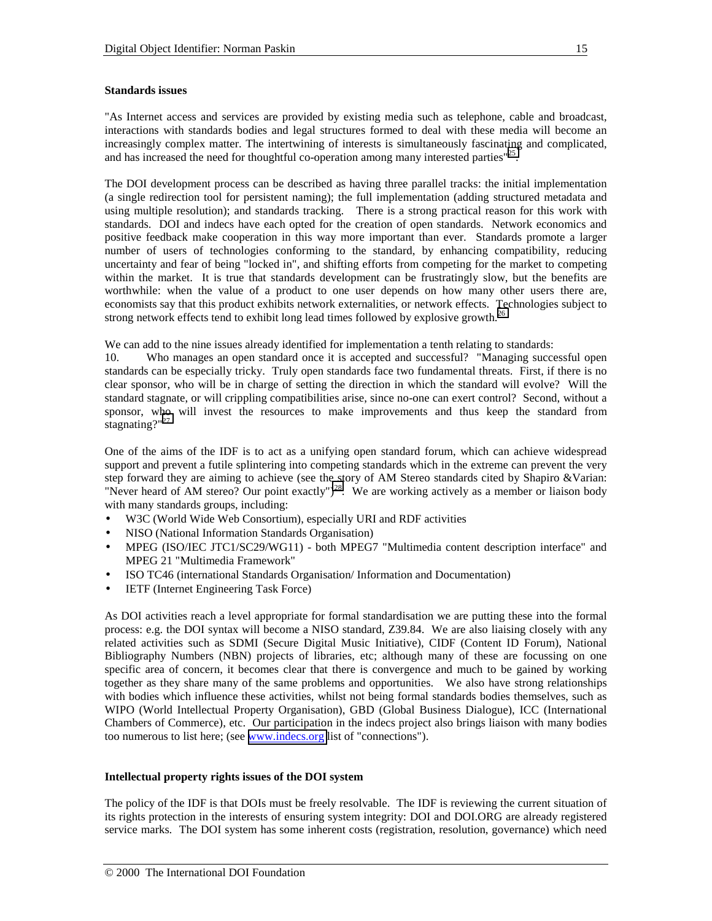#### **Standards issues**

"As Internet access and services are provided by existing media such as telephone, cable and broadcast, interactions with standards bodies and legal structures formed to deal with these media will become an increasingly complex matter. The intertwining of interests is simultaneously fascinating and complicated, and has increased the need for thoughtful co-operation among many interested parties $125$ .

The DOI development process can be described as having three parallel tracks: the initial implementation (a single redirection tool for persistent naming); the full implementation (adding structured metadata and using multiple resolution); and standards tracking. There is a strong practical reason for this work with standards. DOI and indecs have each opted for the creation of open standards. Network economics and positive feedback make cooperation in this way more important than ever. Standards promote a larger number of users of technologies conforming to the standard, by enhancing compatibility, reducing uncertainty and fear of being "locked in", and shifting efforts from competing for the market to competing within the market. It is true that standards development can be frustratingly slow, but the benefits are worthwhile: when the value of a product to one user depends on how many other users there are, economists say that this product exhibits network externalities, or network effects. Technologies subject to strong network effects tend to exhibit long lead times followed by explosive growth.<sup>[26](#page-19-0)</sup>

We can add to the nine issues already identified for implementation a tenth relating to standards:

10. Who manages an open standard once it is accepted and successful? "Managing successful open standards can be especially tricky. Truly open standards face two fundamental threats. First, if there is no clear sponsor, who will be in charge of setting the direction in which the standard will evolve? Will the standard stagnate, or will crippling compatibilities arise, since no-one can exert control? Second, without a sponsor, who will invest the resources to make improvements and thus keep the standard from stagnating?"<sup>[27](#page-19-0)</sup>

One of the aims of the IDF is to act as a unifying open standard forum, which can achieve widespread support and prevent a futile splintering into competing standards which in the extreme can prevent the very step forward they are aiming to achieve (see the story of AM Stereo standards cited by Shapiro &Varian: "Never heard of AM stereo? Our point exactly")<sup>28</sup>. We are working actively as a member or liaison body with many standards groups, including:

- W3C (World Wide Web Consortium), especially URI and RDF activities
- NISO (National Information Standards Organisation)
- MPEG (ISO/IEC JTC1/SC29/WG11) both MPEG7 "Multimedia content description interface" and MPEG 21 "Multimedia Framework"
- ISO TC46 (international Standards Organisation/ Information and Documentation)
- IETF (Internet Engineering Task Force)

As DOI activities reach a level appropriate for formal standardisation we are putting these into the formal process: e.g. the DOI syntax will become a NISO standard, Z39.84. We are also liaising closely with any related activities such as SDMI (Secure Digital Music Initiative), CIDF (Content ID Forum), National Bibliography Numbers (NBN) projects of libraries, etc; although many of these are focussing on one specific area of concern, it becomes clear that there is convergence and much to be gained by working together as they share many of the same problems and opportunities. We also have strong relationships with bodies which influence these activities, whilst not being formal standards bodies themselves, such as WIPO (World Intellectual Property Organisation), GBD (Global Business Dialogue), ICC (International Chambers of Commerce), etc. Our participation in the indecs project also brings liaison with many bodies too numerous to list here; (see [www.indecs.org](http://www.indecs.org/) list of "connections").

## **Intellectual property rights issues of the DOI system**

The policy of the IDF is that DOIs must be freely resolvable. The IDF is reviewing the current situation of its rights protection in the interests of ensuring system integrity: DOI and DOI.ORG are already registered service marks. The DOI system has some inherent costs (registration, resolution, governance) which need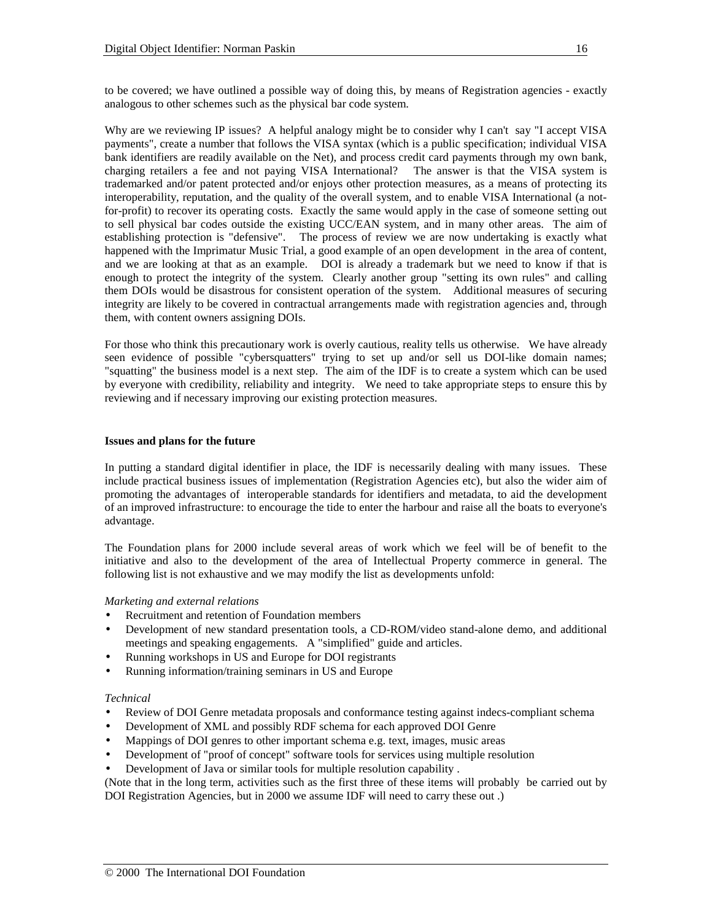to be covered; we have outlined a possible way of doing this, by means of Registration agencies - exactly analogous to other schemes such as the physical bar code system.

Why are we reviewing IP issues? A helpful analogy might be to consider why I can't say "I accept VISA payments", create a number that follows the VISA syntax (which is a public specification; individual VISA bank identifiers are readily available on the Net), and process credit card payments through my own bank, charging retailers a fee and not paying VISA International? The answer is that the VISA system is trademarked and/or patent protected and/or enjoys other protection measures, as a means of protecting its interoperability, reputation, and the quality of the overall system, and to enable VISA International (a notfor-profit) to recover its operating costs. Exactly the same would apply in the case of someone setting out to sell physical bar codes outside the existing UCC/EAN system, and in many other areas. The aim of establishing protection is "defensive". The process of review we are now undertaking is exactly what happened with the Imprimatur Music Trial, a good example of an open development in the area of content, and we are looking at that as an example. DOI is already a trademark but we need to know if that is enough to protect the integrity of the system. Clearly another group "setting its own rules" and calling them DOIs would be disastrous for consistent operation of the system. Additional measures of securing integrity are likely to be covered in contractual arrangements made with registration agencies and, through them, with content owners assigning DOIs.

For those who think this precautionary work is overly cautious, reality tells us otherwise. We have already seen evidence of possible "cybersquatters" trying to set up and/or sell us DOI-like domain names; "squatting" the business model is a next step. The aim of the IDF is to create a system which can be used by everyone with credibility, reliability and integrity. We need to take appropriate steps to ensure this by reviewing and if necessary improving our existing protection measures.

## **Issues and plans for the future**

In putting a standard digital identifier in place, the IDF is necessarily dealing with many issues. These include practical business issues of implementation (Registration Agencies etc), but also the wider aim of promoting the advantages of interoperable standards for identifiers and metadata, to aid the development of an improved infrastructure: to encourage the tide to enter the harbour and raise all the boats to everyone's advantage.

The Foundation plans for 2000 include several areas of work which we feel will be of benefit to the initiative and also to the development of the area of Intellectual Property commerce in general. The following list is not exhaustive and we may modify the list as developments unfold:

## *Marketing and external relations*

- Recruitment and retention of Foundation members
- Development of new standard presentation tools, a CD-ROM/video stand-alone demo, and additional meetings and speaking engagements. A "simplified" guide and articles.
- Running workshops in US and Europe for DOI registrants
- Running information/training seminars in US and Europe

## *Technical*

- Review of DOI Genre metadata proposals and conformance testing against indecs-compliant schema
- Development of XML and possibly RDF schema for each approved DOI Genre
- Mappings of DOI genres to other important schema e.g. text, images, music areas
- Development of "proof of concept" software tools for services using multiple resolution
- Development of Java or similar tools for multiple resolution capability .

(Note that in the long term, activities such as the first three of these items will probably be carried out by DOI Registration Agencies, but in 2000 we assume IDF will need to carry these out .)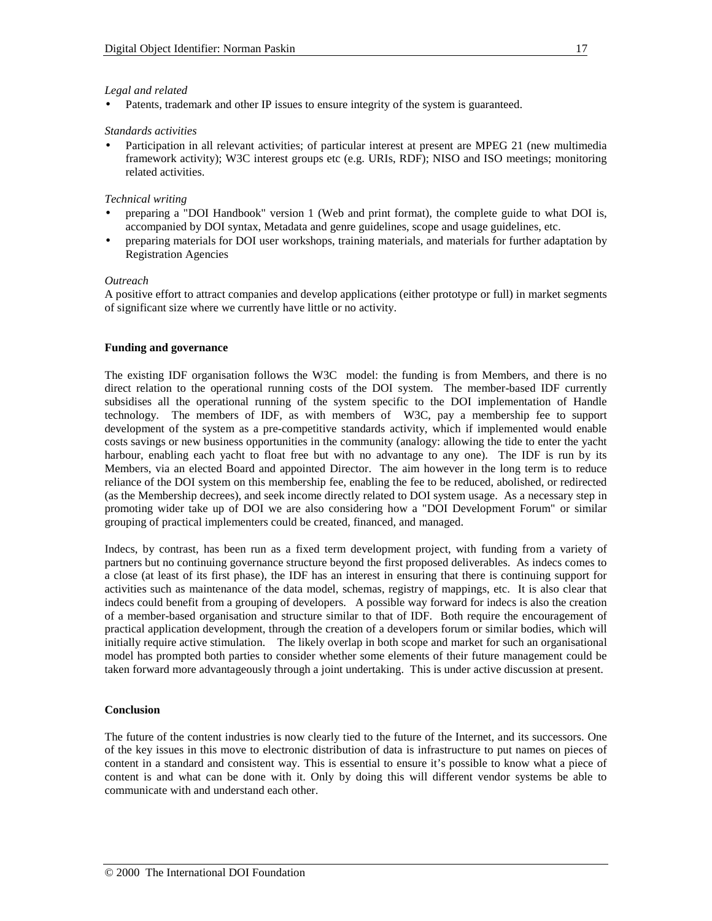## *Legal and related*

• Patents, trademark and other IP issues to ensure integrity of the system is guaranteed.

## *Standards activities*

• Participation in all relevant activities; of particular interest at present are MPEG 21 (new multimedia framework activity); W3C interest groups etc (e.g. URIs, RDF); NISO and ISO meetings; monitoring related activities.

## *Technical writing*

- preparing a "DOI Handbook" version 1 (Web and print format), the complete guide to what DOI is, accompanied by DOI syntax, Metadata and genre guidelines, scope and usage guidelines, etc.
- preparing materials for DOI user workshops, training materials, and materials for further adaptation by Registration Agencies

## *Outreach*

A positive effort to attract companies and develop applications (either prototype or full) in market segments of significant size where we currently have little or no activity.

## **Funding and governance**

The existing IDF organisation follows the W3C model: the funding is from Members, and there is no direct relation to the operational running costs of the DOI system. The member-based IDF currently subsidises all the operational running of the system specific to the DOI implementation of Handle technology. The members of IDF, as with members of W3C, pay a membership fee to support development of the system as a pre-competitive standards activity, which if implemented would enable costs savings or new business opportunities in the community (analogy: allowing the tide to enter the yacht harbour, enabling each yacht to float free but with no advantage to any one). The IDF is run by its Members, via an elected Board and appointed Director. The aim however in the long term is to reduce reliance of the DOI system on this membership fee, enabling the fee to be reduced, abolished, or redirected (as the Membership decrees), and seek income directly related to DOI system usage. As a necessary step in promoting wider take up of DOI we are also considering how a "DOI Development Forum" or similar grouping of practical implementers could be created, financed, and managed.

Indecs, by contrast, has been run as a fixed term development project, with funding from a variety of partners but no continuing governance structure beyond the first proposed deliverables. As indecs comes to a close (at least of its first phase), the IDF has an interest in ensuring that there is continuing support for activities such as maintenance of the data model, schemas, registry of mappings, etc. It is also clear that indecs could benefit from a grouping of developers. A possible way forward for indecs is also the creation of a member-based organisation and structure similar to that of IDF. Both require the encouragement of practical application development, through the creation of a developers forum or similar bodies, which will initially require active stimulation. The likely overlap in both scope and market for such an organisational model has prompted both parties to consider whether some elements of their future management could be taken forward more advantageously through a joint undertaking. This is under active discussion at present.

## **Conclusion**

The future of the content industries is now clearly tied to the future of the Internet, and its successors. One of the key issues in this move to electronic distribution of data is infrastructure to put names on pieces of content in a standard and consistent way. This is essential to ensure it's possible to know what a piece of content is and what can be done with it. Only by doing this will different vendor systems be able to communicate with and understand each other.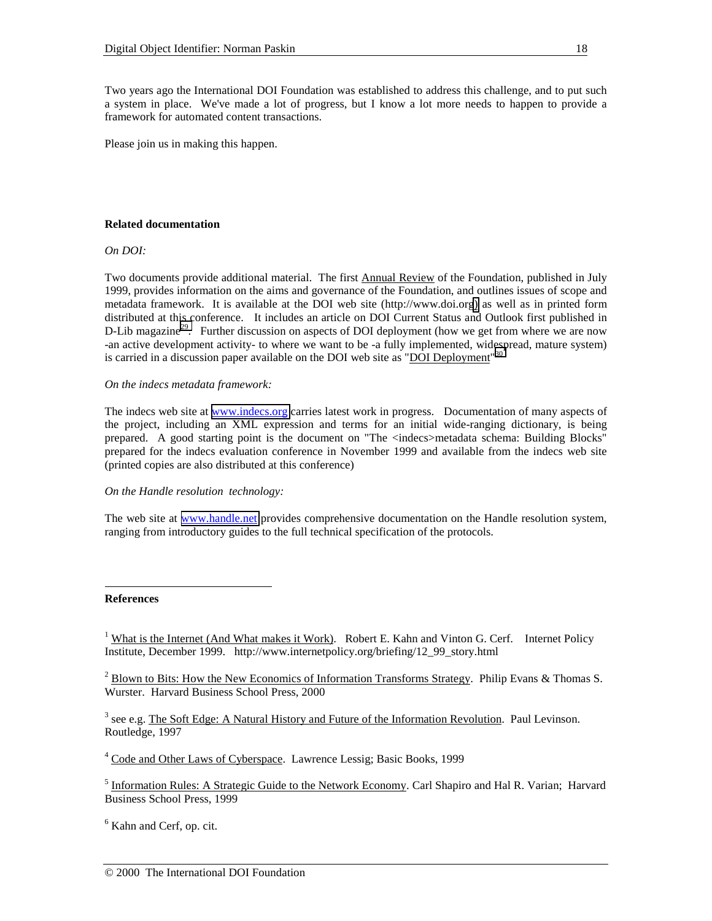Two years ago the International DOI Foundation was established to address this challenge, and to put such a system in place. We've made a lot of progress, but I know a lot more needs to happen to provide a framework for automated content transactions.

Please join us in making this happen.

## **Related documentation**

## *On DOI:*

Two documents provide additional material. The first Annual Review of the Foundation, published in July 1999, provides information on the aims and governance of the Foundation, and outlines issues of scope and metadata framework. It is available at the DOI web site (http://www.doi.or[g\)](http://www.,doi.,org)/) as well as in printed form distributed at this conference. It includes an article on DOI Current Status and Outlook first published in D-Lib magazine<sup>29</sup>. Further discussion on aspects of DOI deployment (how we get from where we are now -an active development activity- to where we want to be -a fully implemented, widespread, mature system) is carried in a discussion paper available on the DOI web site as "DOI Deployment"<sup>3</sup>

## *On the indecs metadata framework:*

The indecs web site at [www.indecs.org](http://www.indecs.org/) carries latest work in progress. Documentation of many aspects of the project, including an XML expression and terms for an initial wide-ranging dictionary, is being prepared. A good starting point is the document on "The <indecs>metadata schema: Building Blocks" prepared for the indecs evaluation conference in November 1999 and available from the indecs web site (printed copies are also distributed at this conference)

*On the Handle resolution technology:*

The web site at [www.handle.net](http://www.handle.net/) provides comprehensive documentation on the Handle resolution system, ranging from introductory guides to the full technical specification of the protocols.

## **References**

l

<sup>1</sup> What is the Internet (And What makes it Work). Robert E. Kahn and Vinton G. Cerf. Internet Policy Institute, December 1999. http://www.internetpolicy.org/briefing/12\_99\_story.html

 $^2$  Blown to Bits: How the New Economics of Information Transforms Strategy. Philip Evans & Thomas S. Wurster. Harvard Business School Press, 2000

<sup>3</sup> see e.g. The Soft Edge: A Natural History and Future of the Information Revolution. Paul Levinson. Routledge, 1997

<sup>4</sup> Code and Other Laws of Cyberspace. Lawrence Lessig; Basic Books, 1999

<sup>5</sup> Information Rules: A Strategic Guide to the Network Economy. Carl Shapiro and Hal R. Varian; Harvard Business School Press, 1999

<sup>6</sup> Kahn and Cerf, op. cit.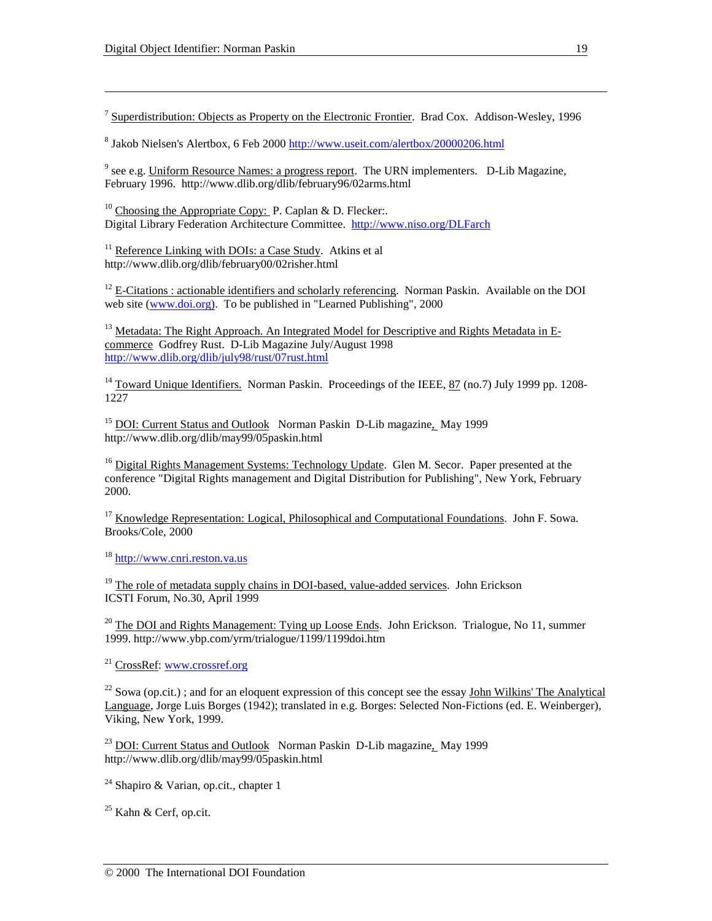$\overline{a}$ 

 $<sup>7</sup>$  Superdistribution: Objects as Property on the Electronic Frontier. Brad Cox. Addison-Wesley, 1996</sup>

<sup>8</sup> Jakob Nielsen's Alertbox, 6 Feb 2000 <u>http://www.useit.com/alertbox/20000206.html</u>

<sup>9</sup> see e.g. Uniform Resource Names: a progress report. The URN implementers. D-Lib Magazine, February 1996. http://www.dlib.org/dlib/february96/02arms.html

<sup>10</sup> Choosing the Appropriate Copy: P. Caplan & D. Flecker:. Digital Library Federation Architecture Committee. http://www.niso.org/DLFarch

<sup>11</sup> Reference Linking with DOIs: a Case Study. Atkins et al http://www.dlib.org/dlib/february00/02risher.html

 $12$  E-Citations : actionable identifiers and scholarly referencing. Norman Paskin. Available on the DOI web site (www.doi.org). To be published in "Learned Publishing", 2000

<sup>13</sup> Metadata: The Right Approach. An Integrated Model for Descriptive and Rights Metadata in Ecommerce Godfrey Rust. D-Lib Magazine July/August 1998 http://www.dlib.org/dlib/july98/rust/07rust.html

<sup>14</sup> Toward Unique Identifiers. Norman Paskin. Proceedings of the IEEE, 87 (no.7) July 1999 pp. 1208-1227

<sup>15</sup> DOI: Current Status and Outlook Norman Paskin D-Lib magazine, May 1999 http://www.dlib.org/dlib/may99/05paskin.html

 $16$  Digital Rights Management Systems: Technology Update. Glen M. Secor. Paper presented at the conference "Digital Rights management and Digital Distribution for Publishing", New York, February 2000.

<sup>17</sup> Knowledge Representation: Logical, Philosophical and Computational Foundations. John F. Sowa. Brooks/Cole, 2000

<sup>18</sup> http://www.cnri.reston.va.us

 $19$  The role of metadata supply chains in DOI-based, value-added services. John Erickson ICSTI Forum, No.30, April 1999

<sup>20</sup> The DOI and Rights Management: Tying up Loose Ends. John Erickson. Trialogue, No 11, summer 1999. http://www.ybp.com/yrm/trialogue/1199/1199doi.htm

21 CrossRef: www.crossref.org

 $^{22}$  Sowa (op.cit.); and for an eloquent expression of this concept see the essay John Wilkins' The Analytical Language, Jorge Luis Borges (1942); translated in e.g. Borges: Selected Non-Fictions (ed. E. Weinberger). Viking, New York, 1999.

<sup>23</sup> DOI: Current Status and Outlook Norman Paskin D-Lib magazine, May 1999 http://www.dlib.org/dlib/may99/05paskin.html

<sup>24</sup> Shapiro & Varian, op.cit., chapter 1

 $25$  Kahn & Cerf, op.cit.